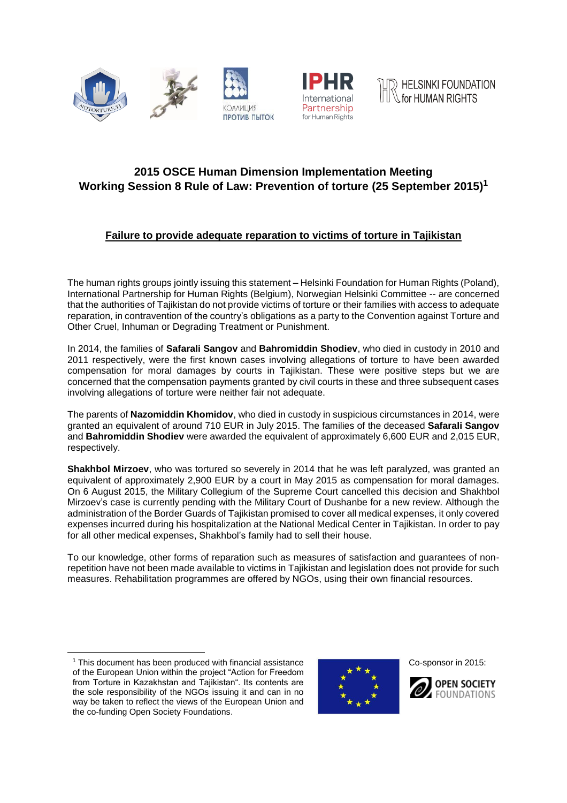





## **2015 OSCE Human Dimension Implementation Meeting Working Session 8 Rule of Law: Prevention of torture (25 September 2015)<sup>1</sup>**

## **Failure to provide adequate reparation to victims of torture in Tajikistan**

The human rights groups jointly issuing this statement – Helsinki Foundation for Human Rights (Poland), International Partnership for Human Rights (Belgium), Norwegian Helsinki Committee -- are concerned that the authorities of Tajikistan do not provide victims of torture or their families with access to adequate reparation, in contravention of the country's obligations as a party to the Convention against Torture and Other Cruel, Inhuman or Degrading Treatment or Punishment.

In 2014, the families of **Safarali Sangov** and **Bahromiddin Shodiev**, who died in custody in 2010 and 2011 respectively, were the first known cases involving allegations of torture to have been awarded compensation for moral damages by courts in Tajikistan. These were positive steps but we are concerned that the compensation payments granted by civil courts in these and three subsequent cases involving allegations of torture were neither fair not adequate.

The parents of **Nazomiddin Khomidov**, who died in custody in suspicious circumstances in 2014, were granted an equivalent of around 710 EUR in July 2015. The families of the deceased **Safarali Sangov** and **Bahromiddin Shodiev** were awarded the equivalent of approximately 6,600 EUR and 2,015 EUR, respectively.

**Shakhbol Mirzoev**, who was tortured so severely in 2014 that he was left paralyzed, was granted an equivalent of approximately 2,900 EUR by a court in May 2015 as compensation for moral damages. On 6 August 2015, the Military Collegium of the Supreme Court cancelled this decision and Shakhbol Mirzoev's case is currently pending with the Military Court of Dushanbe for a new review. Although the administration of the Border Guards of Tajikistan promised to cover all medical expenses, it only covered expenses incurred during his hospitalization at the National Medical Center in Tajikistan. In order to pay for all other medical expenses, Shakhbol's family had to sell their house.

To our knowledge, other forms of reparation such as measures of satisfaction and guarantees of nonrepetition have not been made available to victims in Tajikistan and legislation does not provide for such measures. Rehabilitation programmes are offered by NGOs, using their own financial resources.

 $\overline{a}$ 



Co-sponsor in 2015:



<sup>&</sup>lt;sup>1</sup> This document has been produced with financial assistance of the European Union within the project "Action for Freedom from Torture in Kazakhstan and Tajikistan". Its contents are the sole responsibility of the NGOs issuing it and can in no way be taken to reflect the views of the European Union and the co-funding Open Society Foundations.